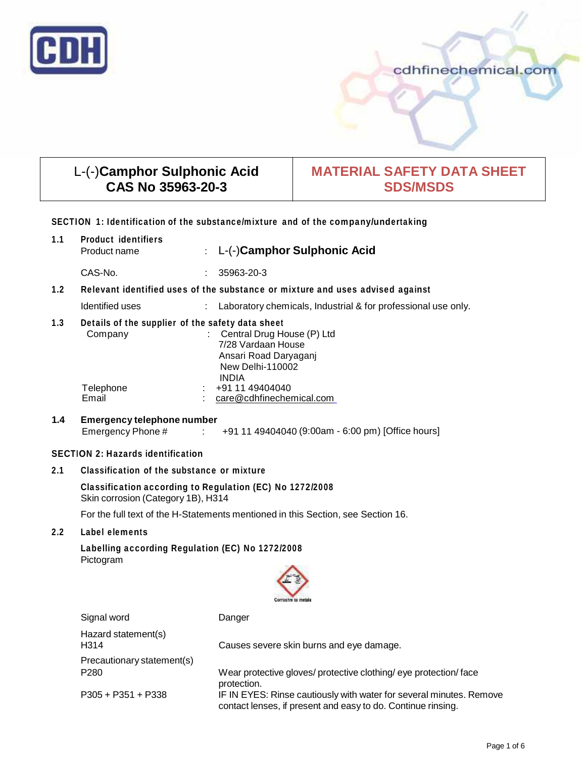

# cdhfinechemical.com

# L-(-)**Camphor Sulphonic Acid CAS No 35963-20-3**

# **MATERIAL SAFETY DATA SHEET SDS/MSDS**

## **SECTION 1: Identification of the substance/mixture and of the company/undertaking**

| 1.1                                                                              | <b>Product identifiers</b><br>Product name                                                     |               | : L-(-)Camphor Sulphonic Acid                                                                                          |  |  |  |
|----------------------------------------------------------------------------------|------------------------------------------------------------------------------------------------|---------------|------------------------------------------------------------------------------------------------------------------------|--|--|--|
|                                                                                  | CAS-No.                                                                                        |               | 35963-20-3                                                                                                             |  |  |  |
| 1.2                                                                              | Relevant identified uses of the substance or mixture and uses advised against                  |               |                                                                                                                        |  |  |  |
|                                                                                  | Identified uses                                                                                |               | Laboratory chemicals, Industrial & for professional use only.                                                          |  |  |  |
| 1.3                                                                              | Details of the supplier of the safety data sheet<br>Company                                    |               | : Central Drug House (P) Ltd<br>7/28 Vardaan House<br>Ansari Road Daryaganj<br><b>New Delhi-110002</b><br><b>INDIA</b> |  |  |  |
|                                                                                  | Telephone<br>Email                                                                             |               | +91 11 49404040<br>care@cdhfinechemical.com                                                                            |  |  |  |
| 1.4                                                                              | <b>Emergency telephone number</b><br>Emergency Phone #                                         | $\mathcal{L}$ | +91 11 49404040 (9:00am - 6:00 pm) [Office hours]                                                                      |  |  |  |
|                                                                                  | <b>SECTION 2: Hazards identification</b>                                                       |               |                                                                                                                        |  |  |  |
| 2.1                                                                              | Classification of the substance or mixture                                                     |               |                                                                                                                        |  |  |  |
|                                                                                  | Classification according to Regulation (EC) No 1272/2008<br>Skin corrosion (Category 1B), H314 |               |                                                                                                                        |  |  |  |
| For the full text of the H-Statements mentioned in this Section, see Section 16. |                                                                                                |               |                                                                                                                        |  |  |  |
| 2.2                                                                              | Label elements                                                                                 |               |                                                                                                                        |  |  |  |
|                                                                                  | Labelling according Regulation (EC) No 1272/2008<br>Pictogram<br>omselve to met                |               |                                                                                                                        |  |  |  |
|                                                                                  | Signal word                                                                                    |               | Danger                                                                                                                 |  |  |  |

Signal word Danger Hazard statement(s) H314 Causes severe skin burns and eye damage. Precautionary statement(s) P280 Wear protective gloves/ protective clothing/ eye protection/ face protection. P305 + P351 + P338 IF IN EYES: Rinse cautiously with water for several minutes. Remove contact lenses, if present and easy to do. Continue rinsing.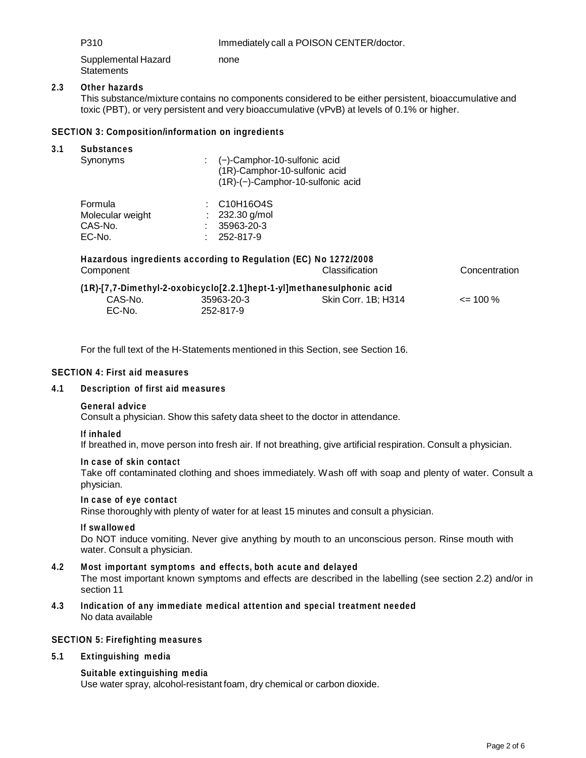P310 **Immediately call a POISON CENTER/doctor.** 

Supplemental Hazard **Statements** none

## **2.3 Other hazards**

This substance/mixture contains no components considered to be either persistent, bioaccumulative and toxic (PBT), or very persistent and very bioaccumulative (vPvB) at levels of 0.1% or higher.

## **SECTION 3: Composition/information on ingredients**

| <b>Substances</b> |                                                                       |                                          |               |  |  |
|-------------------|-----------------------------------------------------------------------|------------------------------------------|---------------|--|--|
| Synonyms          | (-)-Camphor-10-sulfonic acid<br>÷                                     |                                          |               |  |  |
|                   | (1R)-Camphor-10-sulfonic acid                                         |                                          |               |  |  |
|                   |                                                                       | $(1R)$ - $(-)$ -Camphor-10-sulfonic acid |               |  |  |
| Formula           | $\therefore$ C10H16O4S                                                |                                          |               |  |  |
| Molecular weight  | 232.30 g/mol                                                          |                                          |               |  |  |
| CAS-No.           | 35963-20-3                                                            |                                          |               |  |  |
| EC-No.            | 252-817-9                                                             |                                          |               |  |  |
|                   | Hazardous ingredients according to Regulation (EC) No 1272/2008       |                                          |               |  |  |
| Component         |                                                                       | Classification                           | Concentration |  |  |
|                   | (1R)-[7,7-Dimethyl-2-oxobicyclo[2.2.1]hept-1-yl]methanesulphonic acid |                                          |               |  |  |
| CAS-No.           | 35963-20-3                                                            | Skin Corr. 1B: H314                      | $\leq$ 100 %  |  |  |
| $EC-No$ .         | 252-817-9                                                             |                                          |               |  |  |

For the full text of the H-Statements mentioned in this Section, see Section 16.

## **SECTION 4: First aid measures**

## **4.1 Description of first aid measures**

#### **General advice**

Consult a physician. Show this safety data sheet to the doctor in attendance.

#### **If inhaled**

If breathed in, move person into fresh air. If not breathing, give artificial respiration. Consult a physician.

#### **In case of skin contact**

Take off contaminated clothing and shoes immediately. Wash off with soap and plenty of water. Consult a physician.

## **In case of eye contact**

Rinse thoroughly with plenty of water for at least 15 minutes and consult a physician.

#### **If swallowed**

Do NOT induce vomiting. Never give anything by mouth to an unconscious person. Rinse mouth with water. Consult a physician.

## **4.2 Most important symptoms and effects, both acute and delayed**

The most important known symptoms and effects are described in the labelling (see section 2.2) and/or in section 11

**4.3 Indication of any immediate medical attention and special treatment needed** No data available

## **SECTION 5: Firefighting measures**

**5.1 Extinguishing media**

## **Suitable extinguishing media**

Use water spray, alcohol-resistant foam, dry chemical or carbon dioxide.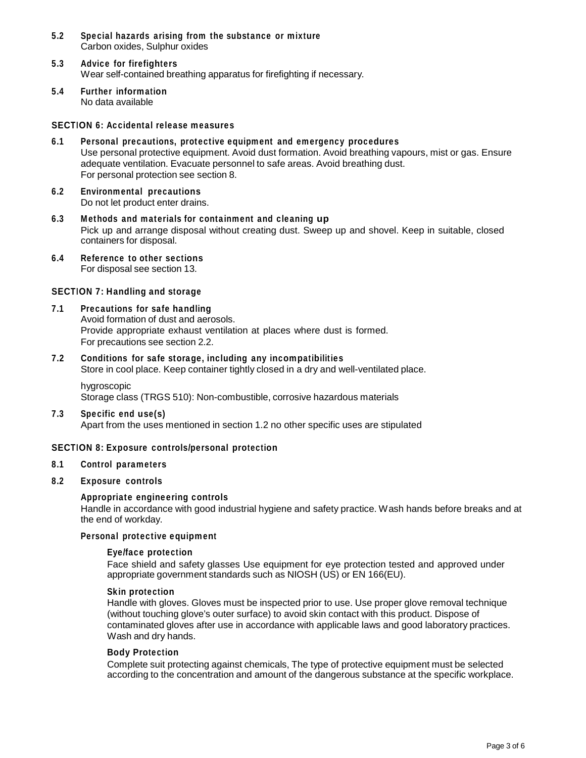- **5.2 Special hazards arising from the substance or mixture** Carbon oxides, Sulphur oxides
- **5.3 Advice for firefighters** Wear self-contained breathing apparatus for firefighting if necessary.
- **5.4 Further information** No data available

#### **SECTION 6: Accidental release measures**

- **6.1 Personal precautions, protective equipment and emergency procedures** Use personal protective equipment. Avoid dust formation. Avoid breathing vapours, mist or gas. Ensure adequate ventilation. Evacuate personnel to safe areas. Avoid breathing dust. For personal protection see section 8.
- **6.2 Environmental precautions** Do not let product enter drains.
- **6.3 Methods and materials for containment and cleaning up** Pick up and arrange disposal without creating dust. Sweep up and shovel. Keep in suitable, closed containers for disposal.
- **6.4 Reference to other sections** For disposal see section 13.

#### **SECTION 7: Handling and storage**

- **7.1 Precautions for safe handling** Avoid formation of dust and aerosols. Provide appropriate exhaust ventilation at places where dust is formed. For precautions see section 2.2.
- **7.2 Conditions for safe storage, including any incompatibilities** Store in cool place. Keep container tightly closed in a dry and well-ventilated place.
	- hygroscopic Storage class (TRGS 510): Non-combustible, corrosive hazardous materials
- **7.3 Specific end use(s)**

Apart from the uses mentioned in section 1.2 no other specific uses are stipulated

## **SECTION 8: Exposure controls/personal protection**

**8.1 Control parameters**

## **8.2 Exposure controls**

## **Appropriate engineering controls**

Handle in accordance with good industrial hygiene and safety practice. Wash hands before breaks and at the end of workday.

## **Personal protective equipment**

#### **Eye/face protection**

Face shield and safety glasses Use equipment for eye protection tested and approved under appropriate government standards such as NIOSH (US) or EN 166(EU).

#### **Skin protection**

Handle with gloves. Gloves must be inspected prior to use. Use proper glove removal technique (without touching glove's outer surface) to avoid skin contact with this product. Dispose of contaminated gloves after use in accordance with applicable laws and good laboratory practices. Wash and dry hands.

#### **Body Protection**

Complete suit protecting against chemicals, The type of protective equipment must be selected according to the concentration and amount of the dangerous substance at the specific workplace.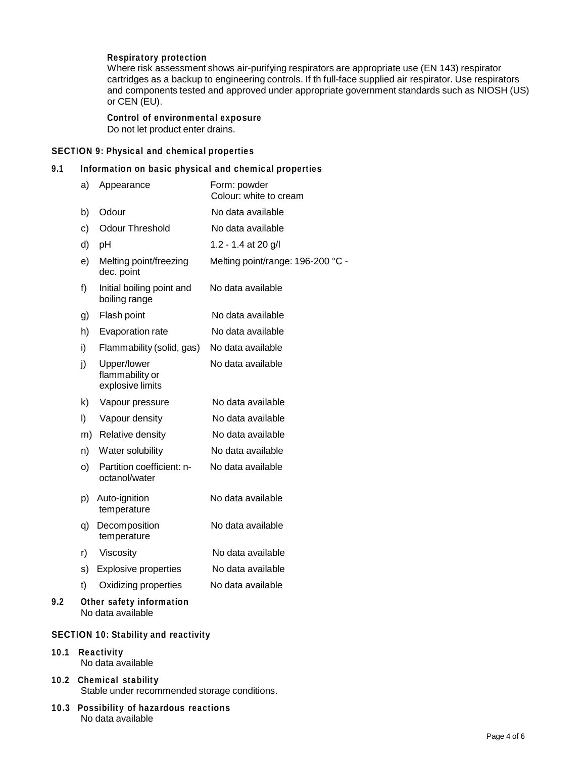## **Respiratory protection**

Where risk assessment shows air-purifying respirators are appropriate use (EN 143) respirator cartridges as a backup to engineering controls. If th full-face supplied air respirator. Use respirators and components tested and approved under appropriate government standards such as NIOSH (US) or CEN (EU).

## **Control of environmental exposure** Do not let product enter drains.

## **SECTION 9: Physical and chemical properties**

## **9.1 Information on basic physical and chemical properties**

|     | a) | Appearance                                         | Form: powder<br>Colour: white to cream |
|-----|----|----------------------------------------------------|----------------------------------------|
|     | b) | Odour                                              | No data available                      |
|     | c) | <b>Odour Threshold</b>                             | No data available                      |
|     | d) | рH                                                 | 1.2 - 1.4 at 20 g/l                    |
|     | e) | Melting point/freezing<br>dec. point               | Melting point/range: 196-200 °C -      |
|     | f) | Initial boiling point and<br>boiling range         | No data available                      |
|     | g) | Flash point                                        | No data available                      |
|     | h) | Evaporation rate                                   | No data available                      |
|     | i) | Flammability (solid, gas)                          | No data available                      |
|     | j) | Upper/lower<br>flammability or<br>explosive limits | No data available                      |
|     | k) | Vapour pressure                                    | No data available                      |
|     | I) | Vapour density                                     | No data available                      |
|     | m) | Relative density                                   | No data available                      |
|     | n) | Water solubility                                   | No data available                      |
|     | O) | Partition coefficient: n-<br>octanol/water         | No data available                      |
|     | p) | Auto-ignition<br>temperature                       | No data available                      |
|     | q) | Decomposition<br>temperature                       | No data available                      |
|     | r) | Viscosity                                          | No data available                      |
|     | s) | <b>Explosive properties</b>                        | No data available                      |
|     | t) | Oxidizing properties                               | No data available                      |
| 9.2 |    | Other safety information<br>No data available      |                                        |

## **SECTION 10: Stability and reactivity**

#### **10.1 Reactivity** No data available

- **10.2 Chemical stability** Stable under recommended storage conditions.
- **10.3 Possibility of hazardous reactions** No data available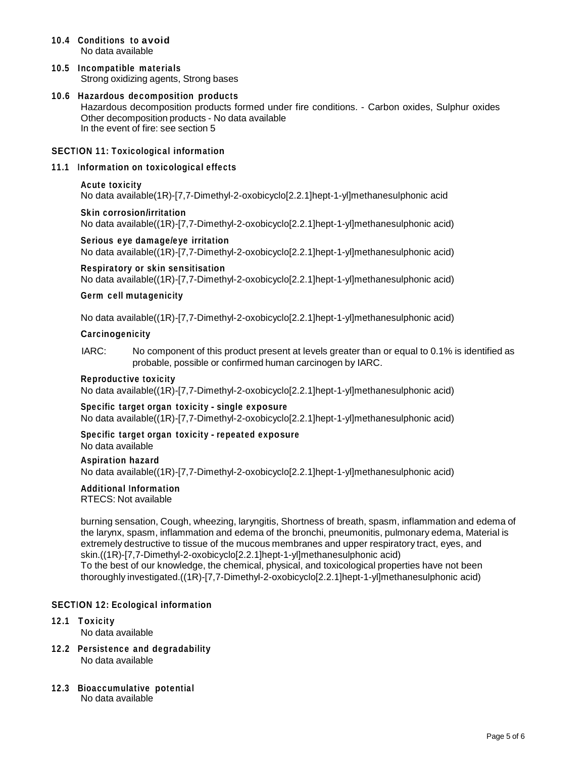- **10.4 Conditions to avoid** No data available
- **10.5 Incompatible materials** Strong oxidizing agents, Strong bases
- **10.6 Hazardous decomposition products** Hazardous decomposition products formed under fire conditions. - Carbon oxides, Sulphur oxides Other decomposition products - No data available In the event of fire: see section 5

## **SECTION 11: Toxicological information**

**11.1 Information on toxicological effects**

## **Acute toxicity**

No data available(1R)-[7,7-Dimethyl-2-oxobicyclo[2.2.1]hept-1-yl]methanesulphonic acid

**Skin corrosion/irritation** No data available((1R)-[7,7-Dimethyl-2-oxobicyclo[2.2.1]hept-1-yl]methanesulphonic acid)

**Serious eye damage/eye irritation** No data available((1R)-[7,7-Dimethyl-2-oxobicyclo[2.2.1]hept-1-yl]methanesulphonic acid)

**Respiratory orskin sensitisation** No data available((1R)-[7,7-Dimethyl-2-oxobicyclo[2.2.1]hept-1-yl]methanesulphonic acid)

#### **Germ cell mutagenicity**

No data available((1R)-[7,7-Dimethyl-2-oxobicyclo[2.2.1]hept-1-yl]methanesulphonic acid)

#### **Carcinogenicity**

IARC: No component of this product present at levels greater than or equal to 0.1% is identified as probable, possible or confirmed human carcinogen by IARC.

#### **Reproductive toxicity**

No data available((1R)-[7,7-Dimethyl-2-oxobicyclo[2.2.1]hept-1-yl]methanesulphonic acid)

## **Specific target organ toxicity - single exposure**

No data available((1R)-[7,7-Dimethyl-2-oxobicyclo[2.2.1]hept-1-yl]methanesulphonic acid)

# **Specific target organ toxicity - repeated exposure**

No data available

#### **Aspiration hazard**

No data available((1R)-[7,7-Dimethyl-2-oxobicyclo[2.2.1]hept-1-yl]methanesulphonic acid)

# **Additional Information**

RTECS: Not available

burning sensation, Cough, wheezing, laryngitis, Shortness of breath, spasm, inflammation and edema of the larynx, spasm, inflammation and edema of the bronchi, pneumonitis, pulmonary edema, Material is extremely destructive to tissue of the mucous membranes and upper respiratory tract, eyes, and skin.((1R)-[7,7-Dimethyl-2-oxobicyclo[2.2.1]hept-1-yl]methanesulphonic acid) To the best of our knowledge, the chemical, physical, and toxicological properties have not been thoroughly investigated.((1R)-[7,7-Dimethyl-2-oxobicyclo[2.2.1]hept-1-yl]methanesulphonic acid)

## **SECTION 12: Ecological information**

- **12.1 Toxicity** No data available
- **12.2 Persistence and degradability** No data available
- **12.3 Bioaccumulative potential** No data available